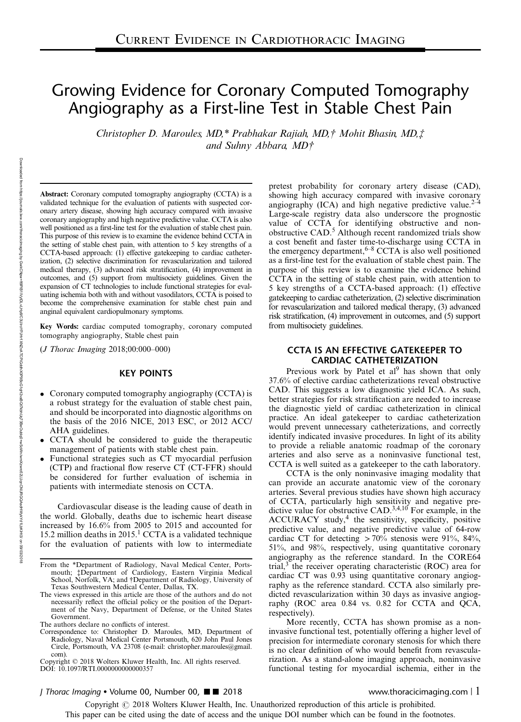# Growing Evidence for Coronary Computed Tomography Angiography as a First-line Test in Stable Chest Pain

Christopher D. Maroules, MD,\* Prabhakar Rajiah, MD,† Mohit Bhasin, MD,‡ and Suhny Abbara, MD†

Abstract: Coronary computed tomography angiography (CCTA) is a validated technique for the evaluation of patients with suspected coronary artery disease, showing high accuracy compared with invasive coronary angiography and high negative predictive value. CCTA is also well positioned as a first-line test for the evaluation of stable chest pain. This purpose of this review is to examine the evidence behind CCTA in the setting of stable chest pain, with attention to 5 key strengths of a CCTA-based approach: (1) effective gatekeeping to cardiac catheterization, (2) selective discrimination for revascularization and tailored medical therapy, (3) advanced risk stratification, (4) improvement in outcomes, and (5) support from multisociety guidelines. Given the expansion of CT technologies to include functional strategies for evaluating ischemia both with and without vasodilators, CCTA is poised to become the comprehensive examination for stable chest pain and anginal equivalent cardiopulmonary symptoms.

Key Words: cardiac computed tomography, coronary computed tomography angiography, Stable chest pain

(J Thorac Imaging 2018;00:000–000)

### KEY POINTS

- Coronary computed tomography angiography (CCTA) is a robust strategy for the evaluation of stable chest pain, and should be incorporated into diagnostic algorithms on the basis of the 2016 NICE, 2013 ESC, or 2012 ACC/ AHA guidelines.
- CCTA should be considered to guide the therapeutic management of patients with stable chest pain.
- Functional strategies such as CT myocardial perfusion (CTP) and fractional flow reserve CT (CT-FFR) should be considered for further evaluation of ischemia in patients with intermediate stenosis on CCTA.

Cardiovascular disease is the leading cause of death in the world. Globally, deaths due to ischemic heart disease increased by 16.6% from 2005 to 2015 and accounted for 15.2 million deaths in 2015.<sup>1</sup> CCTA is a validated technique for the evaluation of patients with low to intermediate

The views expressed in this article are those of the authors and do not necessarily reflect the official policy or the position of the Department of the Navy, Department of Defense, or the United States Government.

pretest probability for coronary artery disease (CAD), showing high accuracy compared with invasive coronary angiography (ICA) and high negative predictive value.<sup>2–4</sup> Large-scale registry data also underscore the prognostic value of CCTA for identifying obstructive and nonobstructive CAD.<sup>5</sup> Although recent randomized trials show a cost benefit and faster time-to-discharge using CCTA in the emergency department,  $6-8$  CCTA is also well positioned as a first-line test for the evaluation of stable chest pain. The purpose of this review is to examine the evidence behind CCTA in the setting of stable chest pain, with attention to 5 key strengths of a CCTA-based approach: (1) effective gatekeeping to cardiac catheterization, (2) selective discrimination for revascularization and tailored medical therapy, (3) advanced risk stratification, (4) improvement in outcomes, and (5) support from multisociety guidelines.

### CCTA IS AN EFFECTIVE GATEKEEPER TO CARDIAC CATHETERIZATION

Previous work by Patel et  $al^9$  has shown that only 37.6% of elective cardiac catheterizations reveal obstructive CAD. This suggests a low diagnostic yield ICA. As such, better strategies for risk stratification are needed to increase the diagnostic yield of cardiac catheterization in clinical practice. An ideal gatekeeper to cardiac catheterization would prevent unnecessary catheterizations, and correctly identify indicated invasive procedures. In light of its ability to provide a reliable anatomic roadmap of the coronary arteries and also serve as a noninvasive functional test, CCTA is well suited as a gatekeeper to the cath laboratory.

CCTA is the only noninvasive imaging modality that can provide an accurate anatomic view of the coronary arteries. Several previous studies have shown high accuracy of CCTA, particularly high sensitivity and negative predictive value for obstructive CAD.<sup>3,4,10</sup> For example, in the ACCURACY study,<sup>4</sup> the sensitivity, specificity, positive predictive value, and negative predictive value of 64-row cardiac CT for detecting  $>70\%$  stenosis were 91%, 84%, 51%, and 98%, respectively, using quantitative coronary angiography as the reference standard. In the CORE64 trial, $3$  the receiver operating characteristic (ROC) area for cardiac CT was 0.93 using quantitative coronary angiography as the reference standard. CCTA also similarly predicted revascularization within 30 days as invasive angiography (ROC area 0.84 vs. 0.82 for CCTA and QCA, respectively).

More recently, CCTA has shown promise as a noninvasive functional test, potentially offering a higher level of precision for intermediate coronary stenosis for which there is no clear definition of who would benefit from revascularization. As a stand-alone imaging approach, noninvasive functional testing for myocardial ischemia, either in the

### J Thorac Imaging • Volume 00, Number 00,  $\blacksquare$  2018 www.thoracicimaging.com | 1

From the \*Department of Radiology, Naval Medical Center, Portsmouth; ‡Department of Cardiology, Eastern Virginia Medical School, Norfolk, VA; and †Department of Radiology, University of Texas Southwestern Medical Center, Dallas, TX.

The authors declare no conflicts of interest.

Correspondence to: Christopher D. Maroules, MD, Department of Radiology, Naval Medical Center Portsmouth, 620 John Paul Jones Circle, Portsmouth, VA 23708 (e-mail: [christopher.maroules@gmail.](mailto:christopher.maroules@gmail.com) [com](mailto:christopher.maroules@gmail.com)).

Copyright © 2018 Wolters Kluwer Health, Inc. All rights reserved. DOI: 10.1097/RTI.0000000000000357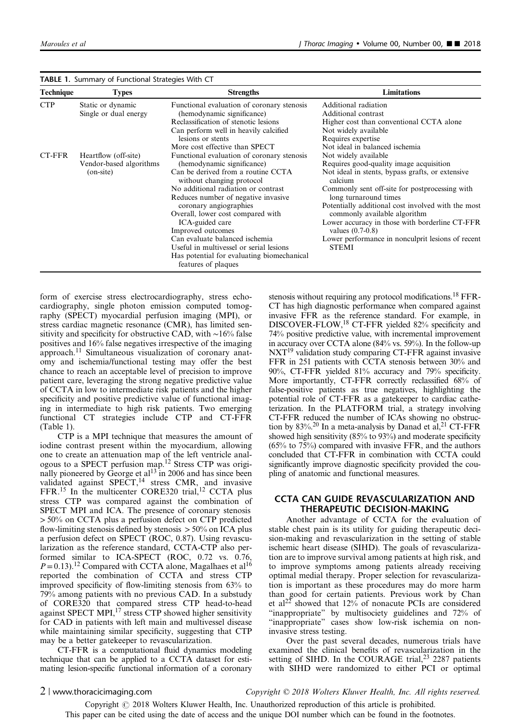| <b>Technique</b> | <b>Types</b>                                                 | <b>Strengths</b>                                                  | <b>Limitations</b>                                          |
|------------------|--------------------------------------------------------------|-------------------------------------------------------------------|-------------------------------------------------------------|
| <b>CTP</b>       | Static or dynamic                                            | Functional evaluation of coronary stenosis                        | Additional radiation                                        |
|                  | Single or dual energy                                        | (hemodynamic significance)                                        | Additional contrast                                         |
|                  |                                                              | Reclassification of stenotic lesions                              | Higher cost than conventional CCTA alone                    |
|                  |                                                              | Can perform well in heavily calcified                             | Not widely available                                        |
|                  |                                                              | lesions or stents                                                 | Requires expertise                                          |
|                  |                                                              | More cost effective than SPECT                                    | Not ideal in balanced ischemia                              |
| CT-FFR           | Heartflow (off-site)<br>Vendor-based algorithms<br>(on-site) | Functional evaluation of coronary stenosis                        | Not widely available                                        |
|                  |                                                              | (hemodynamic significance)                                        | Requires good-quality image acquisition                     |
|                  |                                                              | Can be derived from a routine CCTA<br>without changing protocol   | Not ideal in stents, bypass grafts, or extensive<br>calcium |
|                  |                                                              | No additional radiation or contrast                               | Commonly sent off-site for postprocessing with              |
|                  |                                                              | Reduces number of negative invasive.                              | long turnaround times                                       |
|                  |                                                              | coronary angiographies                                            | Potentially additional cost involved with the most          |
|                  |                                                              | Overall, lower cost compared with                                 | commonly available algorithm                                |
|                  |                                                              | ICA-guided care                                                   | Lower accuracy in those with borderline CT-FFR              |
|                  |                                                              | Improved outcomes                                                 | values $(0.7-0.8)$                                          |
|                  |                                                              | Can evaluate balanced ischemia                                    | Lower performance in nonculprit lesions of recent           |
|                  |                                                              | Useful in multivessel or serial lesions                           | <b>STEMI</b>                                                |
|                  |                                                              | Has potential for evaluating biomechanical<br>features of plaques |                                                             |

TABLE 1. Summary of Functional Strategies With CT

form of exercise stress electrocardiography, stress echocardiography, single photon emission computed tomography (SPECT) myocardial perfusion imaging (MPI), or stress cardiac magnetic resonance (CMR), has limited sensitivity and specificity for obstructive CAD, with ∼16% false positives and 16% false negatives irrespective of the imaging approach.<sup>11</sup> Simultaneous visualization of coronary anatomy and ischemia/functional testing may offer the best chance to reach an acceptable level of precision to improve patient care, leveraging the strong negative predictive value of CCTA in low to intermediate risk patients and the higher specificity and positive predictive value of functional imaging in intermediate to high risk patients. Two emerging functional CT strategies include CTP and CT-FFR (Table 1).

CTP is a MPI technique that measures the amount of iodine contrast present within the myocardium, allowing one to create an attenuation map of the left ventricle analogous to a SPECT perfusion map.<sup>12</sup> Stress CTP was originally pioneered by George et al<sup>13</sup> in 2006 and has since been validated against  $SPECT, <sup>14</sup>$  stress CMR, and invasive FFR.<sup>15</sup> In the multicenter CORE320 trial,<sup>12</sup> CCTA plus stress CTP was compared against the combination of SPECT MPI and ICA. The presence of coronary stenosis > 50% on CCTA plus a perfusion defect on CTP predicted flow-limiting stenosis defined by stenosis  $>50\%$  on ICA plus a perfusion defect on SPECT (ROC, 0.87). Using revascularization as the reference standard, CCTA-CTP also performed similar to ICA-SPECT (ROC, 0.72 vs. 0.76,  $P=0.13$ .<sup>12</sup> Compared with CCTA alone, Magalhaes et al<sup>16</sup> reported the combination of CCTA and stress CTP improved specificity of flow-limiting stenosis from 63% to 79% among patients with no previous CAD. In a substudy of CORE320 that compared stress CTP head-to-head against SPECT MPI,<sup>17</sup> stress CTP showed higher sensitivity for CAD in patients with left main and multivessel disease while maintaining similar specificity, suggesting that CTP may be a better gatekeeper to revascularization.

CT-FFR is a computational fluid dynamics modeling technique that can be applied to a CCTA dataset for estimating lesion-specific functional information of a coronary stenosis without requiring any protocol modifications.<sup>18</sup> FFR-CT has high diagnostic performance when compared against invasive FFR as the reference standard. For example, in DISCOVER-FLOW,18 CT-FFR yielded 82% specificity and 74% positive predictive value, with incremental improvement in accuracy over CCTA alone (84% vs. 59%). In the follow-up  $NXT<sup>19</sup>$  validation study comparing CT-FFR against invasive FFR in 251 patients with CCTA stenosis between 30% and 90%, CT-FFR yielded 81% accuracy and 79% specificity. More importantly, CT-FFR correctly reclassified 68% of false-positive patients as true negatives, highlighting the potential role of CT-FFR as a gatekeeper to cardiac catheterization. In the PLATFORM trial, a strategy involving CT-FFR reduced the number of ICAs showing no obstruction by  $83\%$ .<sup>20</sup> In a meta-analysis by Danad et al,<sup>21</sup> CT-FFR showed high sensitivity (85% to 93%) and moderate specificity (65% to 75%) compared with invasive FFR, and the authors concluded that CT-FFR in combination with CCTA could significantly improve diagnostic specificity provided the coupling of anatomic and functional measures.

### CCTA CAN GUIDE REVASCULARIZATION AND THERAPEUTIC DECISION-MAKING

Another advantage of CCTA for the evaluation of stable chest pain is its utility for guiding therapeutic decision-making and revascularization in the setting of stable ischemic heart disease (SIHD). The goals of revascularization are to improve survival among patients at high risk, and to improve symptoms among patients already receiving optimal medial therapy. Proper selection for revascularization is important as these procedures may do more harm than good for certain patients. Previous work by Chan et al<sup>22</sup> showed that  $12\%$  of nonacute PCIs are considered "inappropriate" by multisociety guidelines and 72% of "inappropriate" cases show low-risk ischemia on noninvasive stress testing.

Over the past several decades, numerous trials have examined the clinical benefits of revascularization in the setting of SIHD. In the COURAGE trial,  $23$  2287 patients with SIHD were randomized to either PCI or optimal

2 | www.thoracicimaging.com Copyright © 2018 Wolters Kluwer Health, Inc. All rights reserved.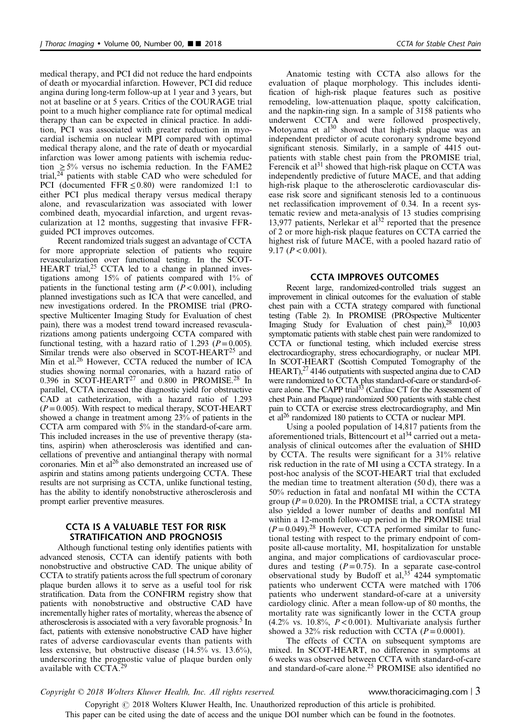medical therapy, and PCI did not reduce the hard endpoints of death or myocardial infarction. However, PCI did reduce angina during long-term follow-up at 1 year and 3 years, but not at baseline or at 5 years. Critics of the COURAGE trial point to a much higher compliance rate for optimal medical therapy than can be expected in clinical practice. In addition, PCI was associated with greater reduction in myocardial ischemia on nuclear MPI compared with optimal medical therapy alone, and the rate of death or myocardial infarction was lower among patients with ischemia reduction  $\geq 5\%$  versus no ischemia reduction. In the FAME2 trial, $2\overline{4}$  patients with stable CAD who were scheduled for PCI (documented FFR  $\leq$  0.80) were randomized 1:1 to either PCI plus medical therapy versus medical therapy alone, and revascularization was associated with lower combined death, myocardial infarction, and urgent revascularization at 12 months, suggesting that invasive FFRguided PCI improves outcomes.

Recent randomized trials suggest an advantage of CCTA for more appropriate selection of patients who require revascularization over functional testing. In the SCOT-HEART trial,<sup>25</sup> CCTA led to a change in planned investigations among 15% of patients compared with 1% of patients in the functional testing arm  $(P < 0.001)$ , including planned investigations such as ICA that were cancelled, and new investigations ordered. In the PROMISE trial (PROspective Multicenter Imaging Study for Evaluation of chest pain), there was a modest trend toward increased revascularizations among patients undergoing CCTA compared with functional testing, with a hazard ratio of 1.293 ( $P = 0.005$ ). Similar trends were also observed in SCOT-HEART<sup>25</sup> and Min et al.<sup>26</sup> However, CCTA reduced the number of ICA studies showing normal coronaries, with a hazard ratio of 0.396 in SCOT-HEART<sup>27</sup> and 0.800 in PROMISE.<sup>28</sup> In parallel, CCTA increased the diagnostic yield for obstructive CAD at catheterization, with a hazard ratio of 1.293  $(P=0.005)$ . With respect to medical therapy, SCOT-HEART showed a change in treatment among 23% of patients in the CCTA arm compared with 5% in the standard-of-care arm. This included increases in the use of preventive therapy (statins, aspirin) when atherosclerosis was identified and cancellations of preventive and antianginal therapy with normal coronaries. Min et  $al^{26}$  also demonstrated an increased use of aspirin and statins among patients undergoing CCTA. These results are not surprising as CCTA, unlike functional testing, has the ability to identify nonobstructive atherosclerosis and prompt earlier preventive measures.

### CCTA IS A VALUABLE TEST FOR RISK STRATIFICATION AND PROGNOSIS

Although functional testing only identifies patients with advanced stenosis, CCTA can identify patients with both nonobstructive and obstructive CAD. The unique ability of CCTA to stratify patients across the full spectrum of coronary plaque burden allows it to serve as a useful tool for risk stratification. Data from the CONFIRM registry show that patients with nonobstructive and obstructive CAD have incrementally higher rates of mortality, whereas the absence of atherosclerosis is associated with a very favorable prognosis.<sup>5</sup> In fact, patients with extensive nonobstructive CAD have higher rates of adverse cardiovascular events than patients with less extensive, but obstructive disease (14.5% vs. 13.6%), underscoring the prognostic value of plaque burden only available with CCTA.<sup>29</sup>

Anatomic testing with CCTA also allows for the evaluation of plaque morphology. This includes identification of high-risk plaque features such as positive remodeling, low-attenuation plaque, spotty calcification, and the napkin-ring sign. In a sample of 3158 patients who underwent CCTA and were followed prospectively, Motoyama et  $al^{30}$  showed that high-risk plaque was an independent predictor of acute coronary syndrome beyond significant stenosis. Similarly, in a sample of 4415 outpatients with stable chest pain from the PROMISE trial, Ferencik et al<sup>31</sup> showed that high-risk plaque on CCTA was independently predictive of future MACE, and that adding high-risk plaque to the atherosclerotic cardiovascular disease risk score and significant stenosis led to a continuous net reclassification improvement of 0.34. In a recent systematic review and meta-analysis of 13 studies comprising 13,977 patients, Nerlekar et  $al^{32}$  reported that the presence of 2 or more high-risk plaque features on CCTA carried the highest risk of future MACE, with a pooled hazard ratio of 9.17  $(P < 0.001)$ .

### CCTA IMPROVES OUTCOMES

Recent large, randomized-controlled trials suggest an improvement in clinical outcomes for the evaluation of stable chest pain with a CCTA strategy compared with functional testing (Table 2). In PROMISE (PROspective Multicenter Imaging Study for Evaluation of chest pain),  $28 \times 10,003$ symptomatic patients with stable chest pain were randomized to CCTA or functional testing, which included exercise stress electrocardiography, stress echocardiography, or nuclear MPI. In SCOT-HEART (Scottish Computed Tomography of the HEART),<sup>27</sup> 4146 outpatients with suspected angina due to CAD were randomized to CCTA plus standard-of-care or standard-ofcare alone. The CAPP trial<sup>33</sup> (Cardiac CT for the Assessment of chest Pain and Plaque) randomized 500 patients with stable chest pain to CCTA or exercise stress electrocardiography, and Min et al<sup>26</sup> randomized 180 patients to CCTA or nuclear MPI.

Using a pooled population of 14,817 patients from the aforementioned trials, Bittencourt et al<sup>34</sup> carried out a metaanalysis of clinical outcomes after the evaluation of SHID by CCTA. The results were significant for a 31% relative risk reduction in the rate of MI using a CCTA strategy. In a post-hoc analysis of the SCOT-HEART trial that excluded the median time to treatment alteration (50 d), there was a 50% reduction in fatal and nonfatal MI within the CCTA group ( $P = 0.020$ ). In the PROMISE trial, a CCTA strategy also yielded a lower number of deaths and nonfatal MI within a 12-month follow-up period in the PROMISE trial  $(P=0.049).^{28}$  However, CCTA performed similar to functional testing with respect to the primary endpoint of composite all-cause mortality, MI, hospitalization for unstable angina, and major complications of cardiovascular procedures and testing  $(P=0.75)$ . In a separate case-control observational study by Budoff et al,  $35\frac{4244}{9}$  symptomatic patients who underwent CCTA were matched with 1706 patients who underwent standard-of-care at a university cardiology clinic. After a mean follow-up of 80 months, the mortality rate was significantly lower in the CCTA group (4.2% vs. 10.8%,  $P < 0.001$ ). Multivariate analysis further showed a 32% risk reduction with CCTA ( $P = 0.0001$ ).

The effects of CCTA on subsequent symptoms are mixed. In SCOT-HEART, no difference in symptoms at 6 weeks was observed between CCTA with standard-of-care and standard-of-care alone.<sup>25</sup> PROMISE also identified no

Copyright © 2018 Wolters Kluwer Health, Inc. All rights reserved. www.thoracicimaging.com | 3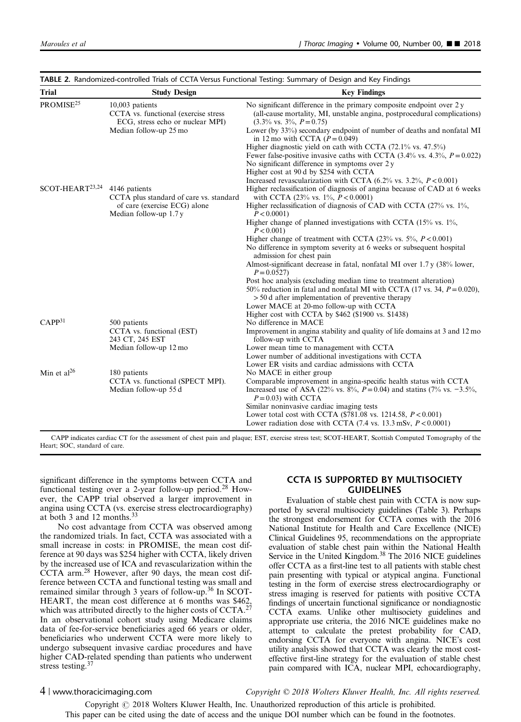| Trial                       | <b>Study Design</b>                                                                                                     | <b>Key Findings</b>                                                                                                                                                                                                                                              |
|-----------------------------|-------------------------------------------------------------------------------------------------------------------------|------------------------------------------------------------------------------------------------------------------------------------------------------------------------------------------------------------------------------------------------------------------|
| PROMISE <sup>25</sup>       | $10,003$ patients<br>CCTA vs. functional (exercise stress<br>ECG, stress echo or nuclear MPI)<br>Median follow-up 25 mo | No significant difference in the primary composite endpoint over $2y$<br>(all-cause mortality, MI, unstable angina, postprocedural complications)<br>$(3.3\% \text{ vs. } 3\%, P=0.75)$<br>Lower (by 33%) secondary endpoint of number of deaths and nonfatal MI |
|                             |                                                                                                                         | in 12 mo with CCTA $(P=0.049)$<br>Higher diagnostic yield on cath with CCTA (72.1% vs. 47.5%)<br>Fewer false-positive invasive caths with CCTA $(3.4\% \text{ vs. } 4.3\%, P = 0.022)$<br>No significant difference in symptoms over 2 y                         |
|                             |                                                                                                                         | Higher cost at 90 d by \$254 with CCTA                                                                                                                                                                                                                           |
| SCOT-HEART <sup>23,24</sup> | 4146 patients<br>CCTA plus standard of care vs. standard                                                                | Increased revascularization with CCTA $(6.2\% \text{ vs. } 3.2\%, P < 0.001)$<br>Higher reclassification of diagnosis of angina because of CAD at 6 weeks<br>with CCTA $(23\% \text{ vs. } 1\%, P < 0.0001)$                                                     |
|                             | of care (exercise ECG) alone<br>Median follow-up 1.7 y                                                                  | Higher reclassification of diagnosis of CAD with CCTA (27% vs. 1%,<br>P < 0.0001                                                                                                                                                                                 |
|                             |                                                                                                                         | Higher change of planned investigations with CCTA $(15\% \text{ vs. } 1\%$ ,<br>$P < 0.001$ )                                                                                                                                                                    |
|                             |                                                                                                                         | Higher change of treatment with CCTA $(23\% \text{ vs. } 5\%, P < 0.001)$                                                                                                                                                                                        |
|                             |                                                                                                                         | No difference in symptom severity at 6 weeks or subsequent hospital<br>admission for chest pain                                                                                                                                                                  |
|                             |                                                                                                                         | Almost-significant decrease in fatal, nonfatal MI over 1.7 y (38% lower,<br>$P = 0.0527$                                                                                                                                                                         |
|                             |                                                                                                                         | Post hoc analysis (excluding median time to treatment alteration)<br>50% reduction in fatal and nonfatal MI with CCTA (17 vs. 34, $P = 0.020$ ),<br>$>$ 50 d after implementation of preventive therapy                                                          |
|                             |                                                                                                                         | Lower MACE at 20-mo follow-up with CCTA                                                                                                                                                                                                                          |
|                             |                                                                                                                         | Higher cost with CCTA by \$462 (\$1900 vs. \$1438)                                                                                                                                                                                                               |
| CAPP <sup>31</sup>          | 500 patients                                                                                                            | No difference in MACE                                                                                                                                                                                                                                            |
|                             | CCTA vs. functional (EST)<br>243 CT, 245 EST                                                                            | Improvement in angina stability and quality of life domains at 3 and 12 mo<br>follow-up with CCTA                                                                                                                                                                |
|                             | Median follow-up 12 mo                                                                                                  | Lower mean time to management with CCTA                                                                                                                                                                                                                          |
|                             |                                                                                                                         | Lower number of additional investigations with CCTA                                                                                                                                                                                                              |
|                             |                                                                                                                         | Lower ER visits and cardiac admissions with CCTA                                                                                                                                                                                                                 |
| Min et al $^{26}$           | 180 patients<br>CCTA vs. functional (SPECT MPI).                                                                        | No MACE in either group                                                                                                                                                                                                                                          |
|                             | Median follow-up 55 d                                                                                                   | Comparable improvement in angina-specific health status with CCTA<br>Increased use of ASA (22% vs. 8%, $P = 0.04$ ) and statins (7% vs. -3.5%,<br>$P = 0.03$ ) with CCTA                                                                                         |
|                             |                                                                                                                         | Similar noninvasive cardiac imaging tests                                                                                                                                                                                                                        |
|                             |                                                                                                                         | Lower total cost with CCTA $(\$781.08$ vs. 1214.58, $P < 0.001$ )<br>Lower radiation dose with CCTA $(7.4 \text{ vs. } 13.3 \text{ mSv}, P < 0.0001)$                                                                                                            |

| <b>TABLE 2.</b> Bandomized controlled Trials of CCTA Versus Eunstianal Testing: Summany of Design and Key Findings |  |  |  |  |  |
|--------------------------------------------------------------------------------------------------------------------|--|--|--|--|--|

CAPP indicates cardiac CT for the assessment of chest pain and plaque; EST, exercise stress test; SCOT-HEART, Scottish Computed Tomography of the Heart; SOC, standard of care.

significant difference in the symptoms between CCTA and functional testing over a 2-year follow-up period.<sup>28</sup> However, the CAPP trial observed a larger improvement in angina using CCTA (vs. exercise stress electrocardiography) at both 3 and 12 months.<sup>33</sup>

No cost advantage from CCTA was observed among the randomized trials. In fact, CCTA was associated with a small increase in costs: in PROMISE, the mean cost difference at 90 days was \$254 higher with CCTA, likely driven by the increased use of ICA and revascularization within the CCTA arm.28 However, after 90 days, the mean cost difference between CCTA and functional testing was small and remained similar through 3 years of follow-up.<sup>36</sup> In SCOT-HEART, the mean cost difference at 6 months was \$462, which was attributed directly to the higher costs of CCTA.<sup>27</sup> In an observational cohort study using Medicare claims data of fee-for-service beneficiaries aged 66 years or older, beneficiaries who underwent CCTA were more likely to undergo subsequent invasive cardiac procedures and have higher CAD-related spending than patients who underwent stress testing.<sup>37</sup>

### CCTA IS SUPPORTED BY MULTISOCIETY **GUIDELINES**

Evaluation of stable chest pain with CCTA is now supported by several multisociety guidelines (Table 3). Perhaps the strongest endorsement for CCTA comes with the 2016 National Institute for Health and Care Excellence (NICE) Clinical Guidelines 95, recommendations on the appropriate evaluation of stable chest pain within the National Health Service in the United Kingdom.<sup>38</sup> The 2016 NICE guidelines offer CCTA as a first-line test to all patients with stable chest pain presenting with typical or atypical angina. Functional testing in the form of exercise stress electrocardiography or stress imaging is reserved for patients with positive CCTA findings of uncertain functional significance or nondiagnostic CCTA exams. Unlike other multisociety guidelines and appropriate use criteria, the 2016 NICE guidelines make no attempt to calculate the pretest probability for CAD, endorsing CCTA for everyone with angina. NICE's cost utility analysis showed that CCTA was clearly the most costeffective first-line strategy for the evaluation of stable chest pain compared with ICA, nuclear MPI, echocardiography,

### 4 | www.thoracicimaging.com Copyright © 2018 Wolters Kluwer Health, Inc. All rights reserved.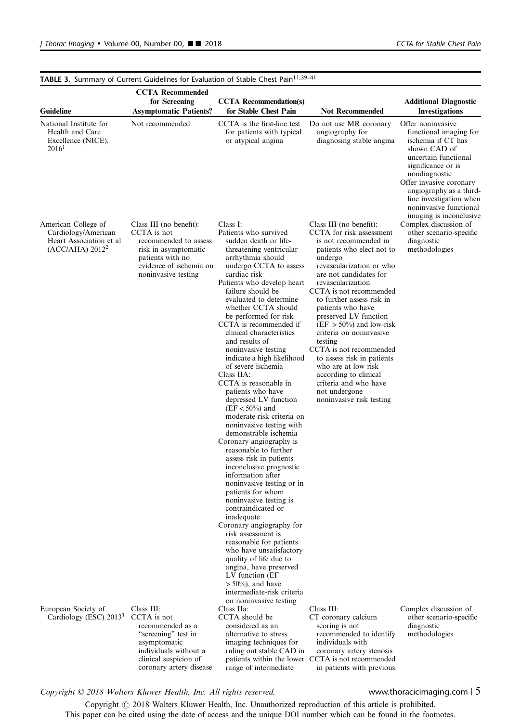|                                                                                                        | <b>CCTA Recommended</b><br>for Screening                                                                                                                          | <b>CCTA</b> Recommendation(s)                                                                                                                                                                                                                                                                                                                                                                                                                                                                                                                                                                                                                                                                                                                                                                                                                                                                                                                                                                                                                                                                                                                  |                                                                                                                                                                                                                                                                                                                                                                                                                                                                                                                                                          | <b>Additional Diagnostic</b>                                                                                                                                                                                                                                                           |
|--------------------------------------------------------------------------------------------------------|-------------------------------------------------------------------------------------------------------------------------------------------------------------------|------------------------------------------------------------------------------------------------------------------------------------------------------------------------------------------------------------------------------------------------------------------------------------------------------------------------------------------------------------------------------------------------------------------------------------------------------------------------------------------------------------------------------------------------------------------------------------------------------------------------------------------------------------------------------------------------------------------------------------------------------------------------------------------------------------------------------------------------------------------------------------------------------------------------------------------------------------------------------------------------------------------------------------------------------------------------------------------------------------------------------------------------|----------------------------------------------------------------------------------------------------------------------------------------------------------------------------------------------------------------------------------------------------------------------------------------------------------------------------------------------------------------------------------------------------------------------------------------------------------------------------------------------------------------------------------------------------------|----------------------------------------------------------------------------------------------------------------------------------------------------------------------------------------------------------------------------------------------------------------------------------------|
| <b>Guideline</b>                                                                                       | <b>Asymptomatic Patients?</b>                                                                                                                                     | for Stable Chest Pain                                                                                                                                                                                                                                                                                                                                                                                                                                                                                                                                                                                                                                                                                                                                                                                                                                                                                                                                                                                                                                                                                                                          | <b>Not Recommended</b>                                                                                                                                                                                                                                                                                                                                                                                                                                                                                                                                   | <b>Investigations</b>                                                                                                                                                                                                                                                                  |
| National Institute for<br>Health and Care<br>Excellence (NICE),<br>2016 <sup>1</sup>                   | Not recommended                                                                                                                                                   | CCTA is the first-line test<br>for patients with typical<br>or atypical angina                                                                                                                                                                                                                                                                                                                                                                                                                                                                                                                                                                                                                                                                                                                                                                                                                                                                                                                                                                                                                                                                 | Do not use MR coronary<br>angiography for<br>diagnosing stable angina                                                                                                                                                                                                                                                                                                                                                                                                                                                                                    | Offer noninvasive<br>functional imaging for<br>ischemia if CT has<br>shown CAD of<br>uncertain functional<br>significance or is<br>nondiagnostic<br>Offer invasive coronary<br>angiography as a third-<br>line investigation when<br>noninvasive functional<br>imaging is inconclusive |
| American College of<br>Cardiology/American<br>Heart Association et al<br>$(ACC/AHA)$ 2012 <sup>2</sup> | Class III (no benefit):<br>CCTA is not<br>recommended to assess<br>risk in asymptomatic<br>patients with no<br>evidence of ischemia on<br>noninvasive testing     | Class I:<br>Patients who survived<br>sudden death or life-<br>threatening ventricular<br>arrhythmia should<br>undergo CCTA to assess<br>cardiac risk<br>Patients who develop heart<br>failure should be<br>evaluated to determine<br>whether CCTA should<br>be performed for risk<br>CCTA is recommended if<br>clinical characteristics<br>and results of<br>noninvasive testing<br>indicate a high likelihood<br>of severe ischemia<br>Class IIA:<br>CCTA is reasonable in<br>patients who have<br>depressed LV function<br>$(EF < 50\%)$ and<br>moderate-risk criteria on<br>noninvasive testing with<br>demonstrable ischemia<br>Coronary angiography is<br>reasonable to further<br>assess risk in patients<br>inconclusive prognostic<br>information after<br>noninvasive testing or in<br>patients for whom<br>noninvasive testing is<br>contraindicated or<br>inadequate<br>Coronary angiography for<br>risk assessment is<br>reasonable for patients<br>who have unsatisfactory<br>quality of life due to<br>angina, have preserved<br>LV function (EF<br>$> 50\%$ ), and have<br>intermediate-risk criteria<br>on noninvasive testing | Class III (no benefit):<br>CCTA for risk assessment<br>is not recommended in<br>patients who elect not to<br>undergo<br>revascularization or who<br>are not candidates for<br>revascularization<br>CCTA is not recommended<br>to further assess risk in<br>patients who have<br>preserved LV function<br>$(EF > 50\%)$ and low-risk<br>criteria on noninvasive<br>testing<br>CCTA is not recommended<br>to assess risk in patients<br>who are at low risk<br>according to clinical<br>criteria and who have<br>not undergone<br>noninvasive risk testing | Complex discussion of<br>other scenario-specific<br>diagnostic<br>methodologies                                                                                                                                                                                                        |
| European Society of<br>Cardiology (ESC) 2013 <sup>3</sup>                                              | Class III:<br>CCTA is not<br>recommended as a<br>"screening" test in<br>asymptomatic<br>individuals without a<br>clinical suspicion of<br>coronary artery disease | Class IIa:<br>CCTA should be<br>considered as an<br>alternative to stress<br>imaging techniques for<br>ruling out stable CAD in<br>range of intermediate                                                                                                                                                                                                                                                                                                                                                                                                                                                                                                                                                                                                                                                                                                                                                                                                                                                                                                                                                                                       | Class III:<br>CT coronary calcium<br>scoring is not<br>recommended to identify<br>individuals with<br>coronary artery stenosis<br>patients within the lower CCTA is not recommended<br>in patients with previous                                                                                                                                                                                                                                                                                                                                         | Complex discussion of<br>other scenario-specific<br>diagnostic<br>methodologies                                                                                                                                                                                                        |

# TABLE 3. Summary of Current Guidelines for Evaluation of Stable Chest Pain<sup>11,39–41</sup>

Copyright © 2018 Wolters Kluwer Health, Inc. All rights reserved. www.thoracicimaging.com | 5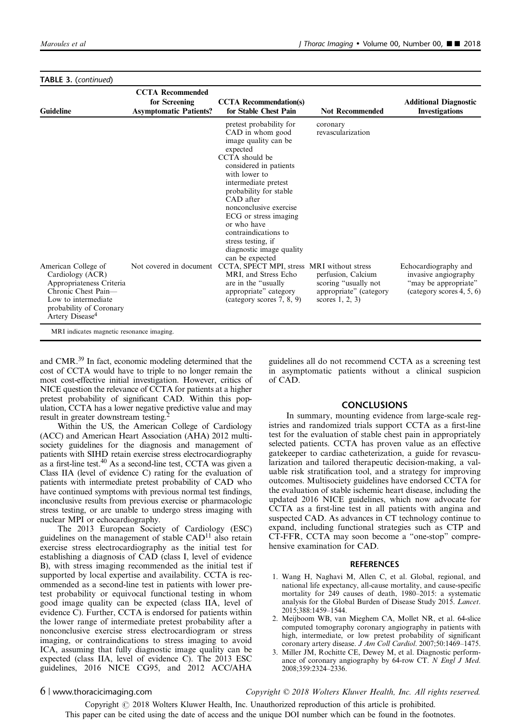| $I$ ADLL J. (COMMITTED)                                                                                                                                                     |                                                                           |                                                                                                                                                                                                                                                                                                                                                                            |                                                                                          |                                                                                                   |
|-----------------------------------------------------------------------------------------------------------------------------------------------------------------------------|---------------------------------------------------------------------------|----------------------------------------------------------------------------------------------------------------------------------------------------------------------------------------------------------------------------------------------------------------------------------------------------------------------------------------------------------------------------|------------------------------------------------------------------------------------------|---------------------------------------------------------------------------------------------------|
| <b>Guideline</b>                                                                                                                                                            | <b>CCTA Recommended</b><br>for Screening<br><b>Asymptomatic Patients?</b> | <b>CCTA</b> Recommendation(s)<br>for Stable Chest Pain                                                                                                                                                                                                                                                                                                                     | <b>Not Recommended</b>                                                                   | <b>Additional Diagnostic</b><br><b>Investigations</b>                                             |
|                                                                                                                                                                             |                                                                           | pretest probability for<br>CAD in whom good<br>image quality can be<br>expected<br>CCTA should be<br>considered in patients<br>with lower to<br>intermediate pretest<br>probability for stable<br>CAD after<br>nonconclusive exercise<br>ECG or stress imaging<br>or who have<br>contraindications to<br>stress testing, if<br>diagnostic image quality<br>can be expected | coronary<br>revascularization                                                            |                                                                                                   |
| American College of<br>Cardiology (ACR)<br>Appropriateness Criteria<br>Chronic Chest Pain-<br>Low to intermediate<br>probability of Coronary<br>Artery Disease <sup>4</sup> | Not covered in document                                                   | CCTA, SPECT MPI, stress MRI without stress<br>MRI, and Stress Echo<br>are in the "usually"<br>appropriate" category<br>(category scores 7, 8, 9)                                                                                                                                                                                                                           | perfusion, Calcium<br>scoring "usually not<br>appropriate" (category<br>scores $1, 2, 3$ | Echocardiography and<br>invasive angiography<br>"may be appropriate"<br>(category scores 4, 5, 6) |
| MRI indicates magnetic resonance imaging.                                                                                                                                   |                                                                           |                                                                                                                                                                                                                                                                                                                                                                            |                                                                                          |                                                                                                   |

## TABLE 3.  $(continued)$

and CMR.39 In fact, economic modeling determined that the cost of CCTA would have to triple to no longer remain the most cost-effective initial investigation. However, critics of NICE question the relevance of CCTA for patients at a higher pretest probability of significant CAD. Within this population, CCTA has a lower negative predictive value and may result in greater downstream testing.

Within the US, the American College of Cardiology (ACC) and American Heart Association (AHA) 2012 multisociety guidelines for the diagnosis and management of patients with SIHD retain exercise stress electrocardiography as a first-line test. $40$  As a second-line test, CCTA was given a Class IIA (level of evidence C) rating for the evaluation of patients with intermediate pretest probability of CAD who have continued symptoms with previous normal test findings, inconclusive results from previous exercise or pharmacologic stress testing, or are unable to undergo stress imaging with nuclear MPI or echocardiography.

The 2013 European Society of Cardiology (ESC) guidelines on the management of stable CAD11 also retain exercise stress electrocardiography as the initial test for establishing a diagnosis of CAD (class I, level of evidence B), with stress imaging recommended as the initial test if supported by local expertise and availability. CCTA is recommended as a second-line test in patients with lower pretest probability or equivocal functional testing in whom good image quality can be expected (class IIA, level of evidence C). Further, CCTA is endorsed for patients within the lower range of intermediate pretest probability after a nonconclusive exercise stress electrocardiogram or stress imaging, or contraindications to stress imaging to avoid ICA, assuming that fully diagnostic image quality can be expected (class IIA, level of evidence C). The 2013 ESC guidelines, 2016 NICE CG95, and 2012 ACC/AHA

guidelines all do not recommend CCTA as a screening test in asymptomatic patients without a clinical suspicion of CAD.

### CONCLUSIONS

In summary, mounting evidence from large-scale registries and randomized trials support CCTA as a first-line test for the evaluation of stable chest pain in appropriately selected patients. CCTA has proven value as an effective gatekeeper to cardiac catheterization, a guide for revascularization and tailored therapeutic decision-making, a valuable risk stratification tool, and a strategy for improving outcomes. Multisociety guidelines have endorsed CCTA for the evaluation of stable ischemic heart disease, including the updated 2016 NICE guidelines, which now advocate for CCTA as a first-line test in all patients with angina and suspected CAD. As advances in CT technology continue to expand, including functional strategies such as CTP and CT-FFR, CCTA may soon become a "one-stop" comprehensive examination for CAD.

### **REFERENCES**

- 1. Wang H, Naghavi M, Allen C, et al. Global, regional, and national life expectancy, all-cause mortality, and cause-specific mortality for 249 causes of death, 1980–2015: a systematic analysis for the Global Burden of Disease Study 2015. Lancet. 2015;388:1459–1544.
- 2. Meijboom WB, van Mieghem CA, Mollet NR, et al. 64-slice computed tomography coronary angiography in patients with high, intermediate, or low pretest probability of significant coronary artery disease. J Am Coll Cardiol. 2007;50:1469–1475.
- Miller JM, Rochitte CE, Dewey M, et al. Diagnostic performance of coronary angiography by 64-row CT. N Engl J Med. 2008;359:2324–2336.

### 6 | www.thoracicimaging.com Copyright © 2018 Wolters Kluwer Health, Inc. All rights reserved.

Copyright © 2018 Wolters Kluwer Health, Inc. Unauthorized reproduction of this article is prohibited.

This paper can be cited using the date of access and the unique DOI number which can be found in the footnotes.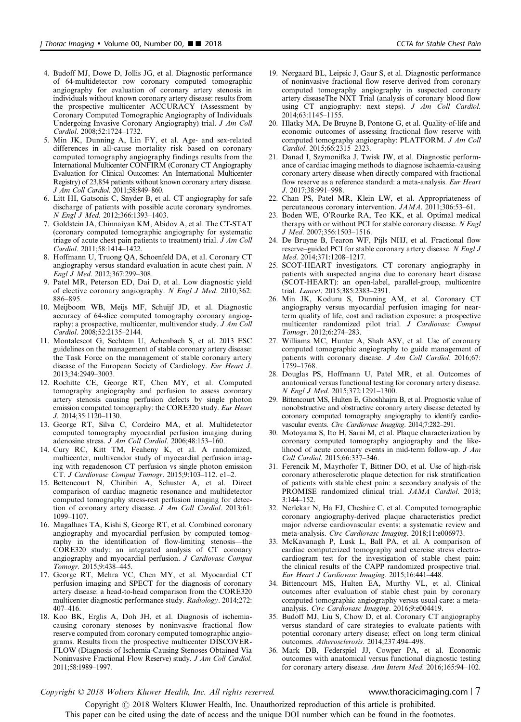- 4. Budoff MJ, Dowe D, Jollis JG, et al. Diagnostic performance of 64-multidetector row coronary computed tomographic angiography for evaluation of coronary artery stenosis in individuals without known coronary artery disease: results from the prospective multicenter ACCURACY (Assessment by Coronary Computed Tomographic Angiography of Individuals Undergoing Invasive Coronary Angiography) trial. J Am Coll Cardiol. 2008;52:1724–1732.
- 5. Min JK, Dunning A, Lin FY, et al. Age- and sex-related differences in all-cause mortality risk based on coronary computed tomography angiography findings results from the International Multicenter CONFIRM (Coronary CT Angiography Evaluation for Clinical Outcomes: An International Multicenter Registry) of 23,854 patients without known coronary artery disease. J Am Coll Cardiol. 2011;58:849–860.
- 6. Litt HI, Gatsonis C, Snyder B, et al. CT angiography for safe discharge of patients with possible acute coronary syndromes. N Engl J Med. 2012;366:1393–1403.
- 7. Goldstein JA, Chinnaiyan KM, Abidov A, et al. The CT-STAT (coronary computed tomographic angiography for systematic triage of acute chest pain patients to treatment) trial. J Am Coll Cardiol. 2011;58:1414-1422.
- 8. Hoffmann U, Truong QA, Schoenfeld DA, et al. Coronary CT angiography versus standard evaluation in acute chest pain. N Engl J Med. 2012;367:299-308.
- 9. Patel MR, Peterson ED, Dai D, et al. Low diagnostic yield of elective coronary angiography. N Engl J Med. 2010;362: 886–895.
- 10. Meijboom WB, Meijs MF, Schuijf JD, et al. Diagnostic accuracy of 64-slice computed tomography coronary angiography: a prospective, multicenter, multivendor study. J Am Coll Cardiol. 2008;52:2135–2144.
- 11. Montalescot G, Sechtem U, Achenbach S, et al. 2013 ESC guidelines on the management of stable coronary artery disease: the Task Force on the management of stable coronary artery disease of the European Society of Cardiology. Eur Heart J. 2013;34:2949–3003.
- 12. Rochitte CE, George RT, Chen MY, et al. Computed tomography angiography and perfusion to assess coronary artery stenosis causing perfusion defects by single photon emission computed tomography: the CORE320 study. Eur Heart J. 2014;35:1120–1130.
- 13. George RT, Silva C, Cordeiro MA, et al. Multidetector computed tomography myocardial perfusion imaging during adenosine stress. J Am Coll Cardiol. 2006;48:153–160.
- 14. Cury RC, Kitt TM, Feaheny K, et al. A randomized, multicenter, multivendor study of myocardial perfusion imaging with regadenoson CT perfusion vs single photon emission CT. J Cardiovasc Comput Tomogr. 2015;9:103–112. e1–2.
- 15. Bettencourt N, Chiribiri A, Schuster A, et al. Direct comparison of cardiac magnetic resonance and multidetector computed tomography stress-rest perfusion imaging for detection of coronary artery disease. J Am Coll Cardiol. 2013;61: 1099–1107.
- 16. Magalhaes TA, Kishi S, George RT, et al. Combined coronary angiography and myocardial perfusion by computed tomography in the identification of flow-limiting stenosis—the CORE320 study: an integrated analysis of CT coronary angiography and myocardial perfusion. J Cardiovasc Comput Tomogr. 2015;9:438–445.
- 17. George RT, Mehra VC, Chen MY, et al. Myocardial CT perfusion imaging and SPECT for the diagnosis of coronary artery disease: a head-to-head comparison from the CORE320 multicenter diagnostic performance study. Radiology. 2014;272: 407–416.
- 18. Koo BK, Erglis A, Doh JH, et al. Diagnosis of ischemiacausing coronary stenoses by noninvasive fractional flow reserve computed from coronary computed tomographic angiograms. Results from the prospective multicenter DISCOVER-FLOW (Diagnosis of Ischemia-Causing Stenoses Obtained Via Noninvasive Fractional Flow Reserve) study. J Am Coll Cardiol. 2011;58:1989–1997.
- 19. Nørgaard BL, Leipsic J, Gaur S, et al. Diagnostic performance of noninvasive fractional flow reserve derived from coronary computed tomography angiography in suspected coronary artery diseaseThe NXT Trial (analysis of coronary blood flow using CT angiography: next steps). J Am Coll Cardiol. 2014;63:1145–1155.
- 20. Hlatky MA, De Bruyne B, Pontone G, et al. Quality-of-life and economic outcomes of assessing fractional flow reserve with computed tomography angiography: PLATFORM. J Am Coll Cardiol. 2015;66:2315–2323.
- 21. Danad I, Szymonifka J, Twisk JW, et al. Diagnostic performance of cardiac imaging methods to diagnose ischaemia-causing coronary artery disease when directly compared with fractional flow reserve as a reference standard: a meta-analysis. Eur Heart J. 2017;38:991–998.
- 22. Chan PS, Patel MR, Klein LW, et al. Appropriateness of percutaneous coronary intervention. JAMA. 2011;306:53–61.
- 23. Boden WE, O'Rourke RA, Teo KK, et al. Optimal medical therapy with or without PCI for stable coronary disease. N Engl J Med. 2007;356:1503–1516.
- 24. De Bruyne B, Fearon WF, Pijls NHJ, et al. Fractional flow reserve–guided PCI for stable coronary artery disease. N Engl J Med. 2014;371:1208–1217.
- 25. SCOT-HEART investigators. CT coronary angiography in patients with suspected angina due to coronary heart disease (SCOT-HEART): an open-label, parallel-group, multicentre trial. Lancet. 2015;385:2383–2391.
- 26. Min JK, Koduru S, Dunning AM, et al. Coronary CT angiography versus myocardial perfusion imaging for nearterm quality of life, cost and radiation exposure: a prospective multicenter randomized pilot trial. J Cardiovasc Comput Tomogr. 2012;6:274–283.
- 27. Williams MC, Hunter A, Shah ASV, et al. Use of coronary computed tomographic angiography to guide management of patients with coronary disease. J Am Coll Cardiol. 2016;67: 1759–1768.
- 28. Douglas PS, Hoffmann U, Patel MR, et al. Outcomes of anatomical versus functional testing for coronary artery disease. N Engl J Med. 2015;372:1291–1300.
- 29. Bittencourt MS, Hulten E, Ghoshhajra B, et al. Prognostic value of nonobstructive and obstructive coronary artery disease detected by coronary computed tomography angiography to identify cardiovascular events. Circ Cardiovasc Imaging. 2014;7:282–291.
- 30. Motoyama S, Ito H, Sarai M, et al. Plaque characterization by coronary computed tomography angiography and the likelihood of acute coronary events in mid-term follow-up. J Am Coll Cardiol. 2015;66:337–346.
- 31. Ferencik M, Mayrhofer T, Bittner DO, et al. Use of high-risk coronary atherosclerotic plaque detection for risk stratification of patients with stable chest pain: a secondary analysis of the PROMISE randomized clinical trial. JAMA Cardiol. 2018; 3:144–152.
- 32. Nerlekar N, Ha FJ, Cheshire C, et al. Computed tomographic coronary angiography-derived plaque characteristics predict major adverse cardiovascular events: a systematic review and meta-analysis. Circ Cardiovasc Imaging. 2018;11:e006973.
- 33. McKavanagh P, Lusk L, Ball PA, et al. A comparison of cardiac computerized tomography and exercise stress electrocardiogram test for the investigation of stable chest pain: the clinical results of the CAPP randomized prospective trial. Eur Heart J Cardiovasc Imaging. 2015;16:441–448.
- 34. Bittencourt MS, Hulten EA, Murthy VL, et al. Clinical outcomes after evaluation of stable chest pain by coronary computed tomographic angiography versus usual care: a metaanalysis. Circ Cardiovasc Imaging. 2016;9:e004419.
- 35. Budoff MJ, Liu S, Chow D, et al. Coronary CT angiography versus standard of care strategies to evaluate patients with potential coronary artery disease; effect on long term clinical outcomes. Atherosclerosis. 2014;237:494–498.
- 36. Mark DB, Federspiel JJ, Cowper PA, et al. Economic outcomes with anatomical versus functional diagnostic testing for coronary artery disease. Ann Intern Med. 2016;165:94–102.

### Copyright © 2018 Wolters Kluwer Health, Inc. All rights reserved. www.thoracicimaging.com | 7